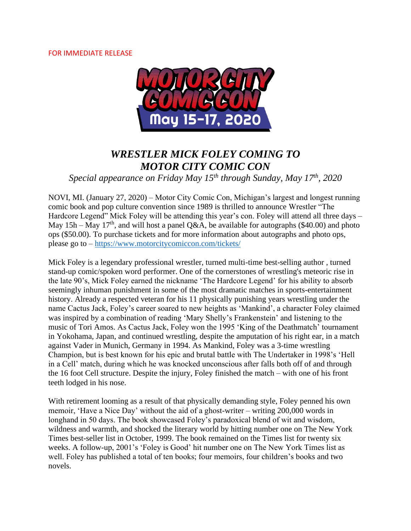#### FOR IMMEDIATE RELEASE



# *WRESTLER MICK FOLEY COMING TO MOTOR CITY COMIC CON*

*Special appearance on Friday May 15th through Sunday, May 17th, 2020*

NOVI, MI. (January 27, 2020) – Motor City Comic Con, Michigan's largest and longest running comic book and pop culture convention since 1989 is thrilled to announce Wrestler "The Hardcore Legend" Mick Foley will be attending this year's con. Foley will attend all three days – May 15h – May 17<sup>th</sup>, and will host a panel Q&A, be available for autographs (\$40.00) and photo ops (\$50.00). To purchase tickets and for more information about autographs and photo ops, please go to – <https://www.motorcitycomiccon.com/tickets/>

Mick Foley is a legendary professional wrestler, turned multi-time best-selling author , turned stand-up comic/spoken word performer. One of the cornerstones of wrestling's meteoric rise in the late 90's, Mick Foley earned the nickname 'The Hardcore Legend' for his ability to absorb seemingly inhuman punishment in some of the most dramatic matches in sports-entertainment history. Already a respected veteran for his 11 physically punishing years wrestling under the name Cactus Jack, Foley's career soared to new heights as 'Mankind', a character Foley claimed was inspired by a combination of reading 'Mary Shelly's Frankenstein' and listening to the music of Tori Amos. As Cactus Jack, Foley won the 1995 'King of the Deathmatch' tournament in Yokohama, Japan, and continued wrestling, despite the amputation of his right ear, in a match against Vader in Munich, Germany in 1994. As Mankind, Foley was a 3-time wrestling Champion, but is best known for his epic and brutal battle with The Undertaker in 1998's 'Hell in a Cell' match, during which he was knocked unconscious after falls both off of and through the 16 foot Cell structure. Despite the injury, Foley finished the match – with one of his front teeth lodged in his nose.

With retirement looming as a result of that physically demanding style, Foley penned his own memoir, 'Have a Nice Day' without the aid of a ghost-writer – writing 200,000 words in longhand in 50 days. The book showcased Foley's paradoxical blend of wit and wisdom, wildness and warmth, and shocked the literary world by hitting number one on The New York Times best-seller list in October, 1999. The book remained on the Times list for twenty six weeks. A follow-up, 2001's 'Foley is Good' hit number one on The New York Times list as well. Foley has published a total of ten books; four memoirs, four children's books and two novels.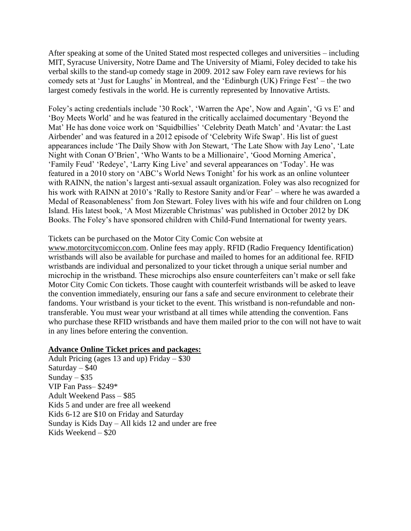After speaking at some of the United Stated most respected colleges and universities – including MIT, Syracuse University, Notre Dame and The University of Miami, Foley decided to take his verbal skills to the stand-up comedy stage in 2009. 2012 saw Foley earn rave reviews for his comedy sets at 'Just for Laughs' in Montreal, and the 'Edinburgh (UK) Fringe Fest' – the two largest comedy festivals in the world. He is currently represented by Innovative Artists.

Foley's acting credentials include '30 Rock', 'Warren the Ape', Now and Again', 'G vs E' and 'Boy Meets World' and he was featured in the critically acclaimed documentary 'Beyond the Mat' He has done voice work on 'Squidbillies' 'Celebrity Death Match' and 'Avatar: the Last Airbender' and was featured in a 2012 episode of 'Celebrity Wife Swap'. His list of guest appearances include 'The Daily Show with Jon Stewart, 'The Late Show with Jay Leno', 'Late Night with Conan O'Brien', 'Who Wants to be a Millionaire', 'Good Morning America', 'Family Feud' 'Redeye', 'Larry King Live' and several appearances on 'Today'. He was featured in a 2010 story on 'ABC's World News Tonight' for his work as an online volunteer with RAINN, the nation's largest anti-sexual assault organization. Foley was also recognized for his work with RAINN at 2010's 'Rally to Restore Sanity and/or Fear' – where he was awarded a Medal of Reasonableness' from Jon Stewart. Foley lives with his wife and four children on Long Island. His latest book, 'A Most Mizerable Christmas' was published in October 2012 by DK Books. The Foley's have sponsored children with Child-Fund International for twenty years.

#### Tickets can be purchased on the Motor City Comic Con website at

[www.motorcitycomiccon.com.](http://www.motorcitycomiccon.com/) Online fees may apply. RFID (Radio Frequency Identification) wristbands will also be available for purchase and mailed to homes for an additional fee. RFID wristbands are individual and personalized to your ticket through a unique serial number and microchip in the wristband. These microchips also ensure counterfeiters can't make or sell fake Motor City Comic Con tickets. Those caught with counterfeit wristbands will be asked to leave the convention immediately, ensuring our fans a safe and secure environment to celebrate their fandoms. Your wristband is your ticket to the event. This wristband is non-refundable and nontransferable. You must wear your wristband at all times while attending the convention. Fans who purchase these RFID wristbands and have them mailed prior to the con will not have to wait in any lines before entering the convention.

#### **Advance Online Ticket prices and packages:**

Adult Pricing (ages 13 and up) Friday  $-$  \$30 Saturday  $-$  \$40 Sunday –  $$35$ VIP Fan Pass– \$249\* Adult Weekend Pass – \$85 Kids 5 and under are free all weekend Kids 6-12 are \$10 on Friday and Saturday Sunday is Kids Day – All kids 12 and under are free Kids Weekend – \$20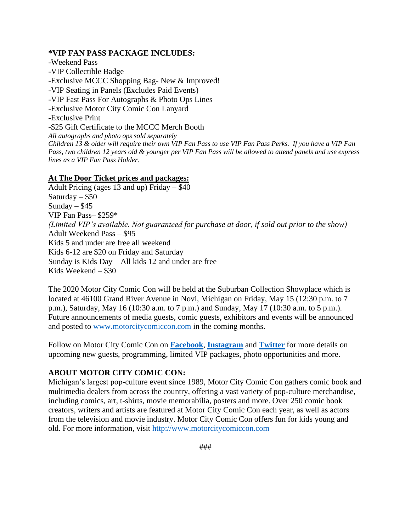#### **\*VIP FAN PASS PACKAGE INCLUDES:**

-Weekend Pass -VIP Collectible Badge -Exclusive MCCC Shopping Bag- New & Improved! -VIP Seating in Panels (Excludes Paid Events) -VIP Fast Pass For Autographs & Photo Ops Lines -Exclusive Motor City Comic Con Lanyard -Exclusive Print -\$25 Gift Certificate to the MCCC Merch Booth *All autographs and photo ops sold separately Children 13 & older will require their own VIP Fan Pass to use VIP Fan Pass Perks. If you have a VIP Fan Pass, two children 12 years old & younger per VIP Fan Pass will be allowed to attend panels and use express lines as a VIP Fan Pass Holder.*

### **At The Door Ticket prices and packages:**

Adult Pricing (ages 13 and up) Friday – \$40 Saturday – \$50 Sunday  $-$  \$45 VIP Fan Pass– \$259\* *(Limited VIP's available. Not guaranteed for purchase at door, if sold out prior to the show)* Adult Weekend Pass – \$95 Kids 5 and under are free all weekend Kids 6-12 are \$20 on Friday and Saturday Sunday is Kids Day – All kids 12 and under are free Kids Weekend – \$30

The 2020 Motor City Comic Con will be held at the Suburban Collection Showplace which is located at 46100 Grand River Avenue in Novi, Michigan on Friday, May 15 (12:30 p.m. to 7 p.m.), Saturday, May 16 (10:30 a.m. to 7 p.m.) and Sunday, May 17 (10:30 a.m. to 5 p.m.). Future announcements of media guests, comic guests, exhibitors and events will be announced and posted to [www.motorcitycomiccon.com](http://www.motorcitycomiccon.com/) in the coming months.

Follow on Motor City Comic Con on **[Facebook](https://www.facebook.com/motorcitycomicon/)**, **[Instagram](https://www.instagram.com/motcitycomiccon/?hl=en)** and **[Twitter](https://twitter.com/MotCityComicCon)** for more details on upcoming new guests, programming, limited VIP packages, photo opportunities and more.

## **ABOUT MOTOR CITY COMIC CON:**

Michigan's largest pop-culture event since 1989, Motor City Comic Con gathers comic book and multimedia dealers from across the country, offering a vast variety of pop-culture merchandise, including comics, art, t-shirts, movie memorabilia, posters and more. Over 250 comic book creators, writers and artists are featured at Motor City Comic Con each year, as well as actors from the television and movie industry. Motor City Comic Con offers fun for kids young and old. For more information, visit http://www.motorcitycomiccon.com